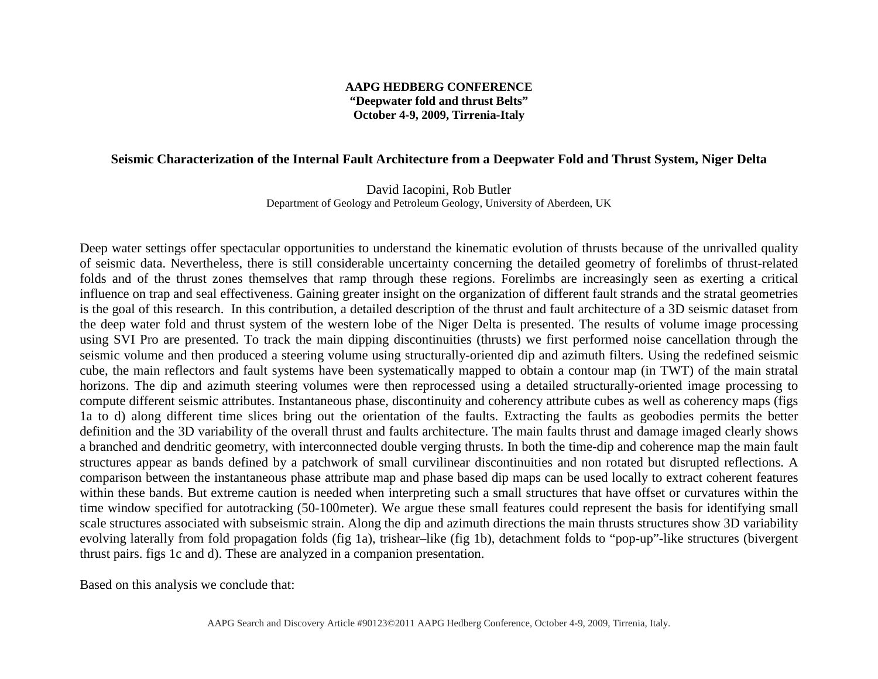## **AAPG HEDBERG CONFERENCE "Deepwater fold and thrust Belts" October 4-9, 2009, Tirrenia-Italy**

## **Seismic Characterization of the Internal Fault Architecture from a Deepwater Fold and Thrust System, Niger Delta**

David Iacopini, Rob Butler Department of Geology and Petroleum Geology, University of Aberdeen, UK

Deep water settings offer spectacular opportunities to understand the kinematic evolution of thrusts because of the unrivalled quality of seismic data. Nevertheless, there is still considerable uncertainty concerning the detailed geometry of forelimbs of thrust-related folds and of the thrust zones themselves that ramp through these regions. Forelimbs are increasingly seen as exerting a critical influence on trap and seal effectiveness. Gaining greater insight on the organization of different fault strands and the stratal geometries is the goal of this research. In this contribution, a detailed description of the thrust and fault architecture of a 3D seismic dataset from the deep water fold and thrust system of the western lobe of the Niger Delta is presented. The results of volume image processing using SVI Pro are presented. To track the main dipping discontinuities (thrusts) we first performed noise cancellation through the seismic volume and then produced a steering volume using structurally-oriented dip and azimuth filters. Using the redefined seismic cube, the main reflectors and fault systems have been systematically mapped to obtain a contour map (in TWT) of the main stratal horizons. The dip and azimuth steering volumes were then reprocessed using a detailed structurally-oriented image processing to compute different seismic attributes. Instantaneous phase, discontinuity and coherency attribute cubes as well as coherency maps (figs 1a to d) along different time slices bring out the orientation of the faults. Extracting the faults as geobodies permits the better definition and the 3D variability of the overall thrust and faults architecture. The main faults thrust and damage imaged clearly shows a branched and dendritic geometry, with interconnected double verging thrusts. In both the time-dip and coherence map the main fault structures appear as bands defined by a patchwork of small curvilinear discontinuities and non rotated but disrupted reflections. A comparison between the instantaneous phase attribute map and phase based dip maps can be used locally to extract coherent features within these bands. But extreme caution is needed when interpreting such a small structures that have offset or curvatures within the time window specified for autotracking (50-100meter). We argue these small features could represent the basis for identifying small scale structures associated with subseismic strain. Along the dip and azimuth directions the main thrusts structures show 3D variability evolving laterally from fold propagation folds (fig 1a), trishear–like (fig 1b), detachment folds to "pop-up"-like structures (bivergent thrust pairs. figs 1c and d). These are analyzed in a companion presentation.

Based on this analysis we conclude that: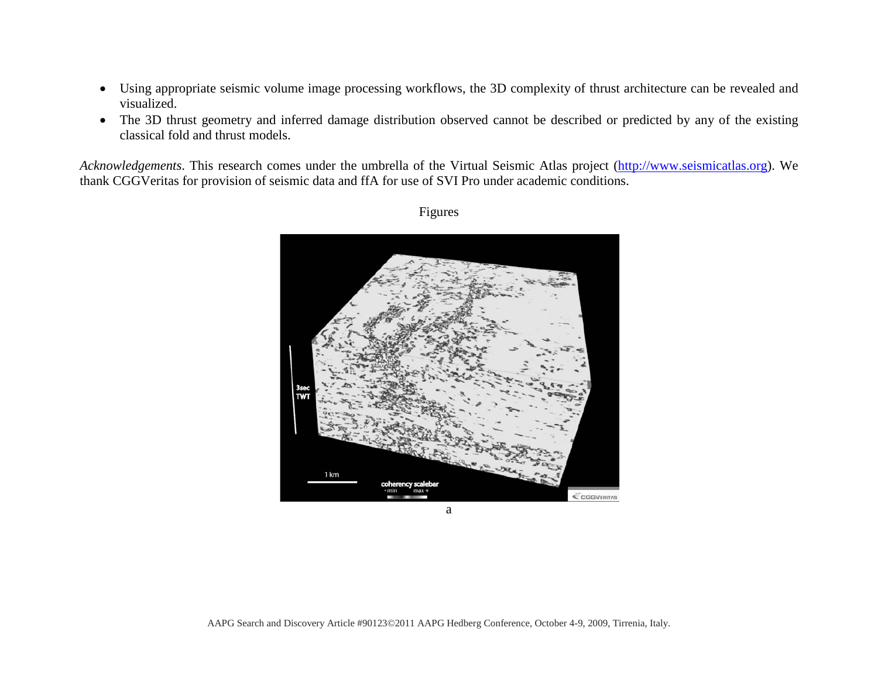- Using appropriate seismic volume image processing workflows, the 3D complexity of thrust architecture can be revealed and visualized.
- The 3D thrust geometry and inferred damage distribution observed cannot be described or predicted by any of the existing classical fold and thrust models.

*Acknowledgements*. This research comes under the umbrella of the Virtual Seismic Atlas project [\(http://www.seismicatlas.org\)](http://www.seismicatlas.org/). We thank CGGVeritas for provision of seismic data and ffA for use of SVI Pro under academic conditions.



Figures

a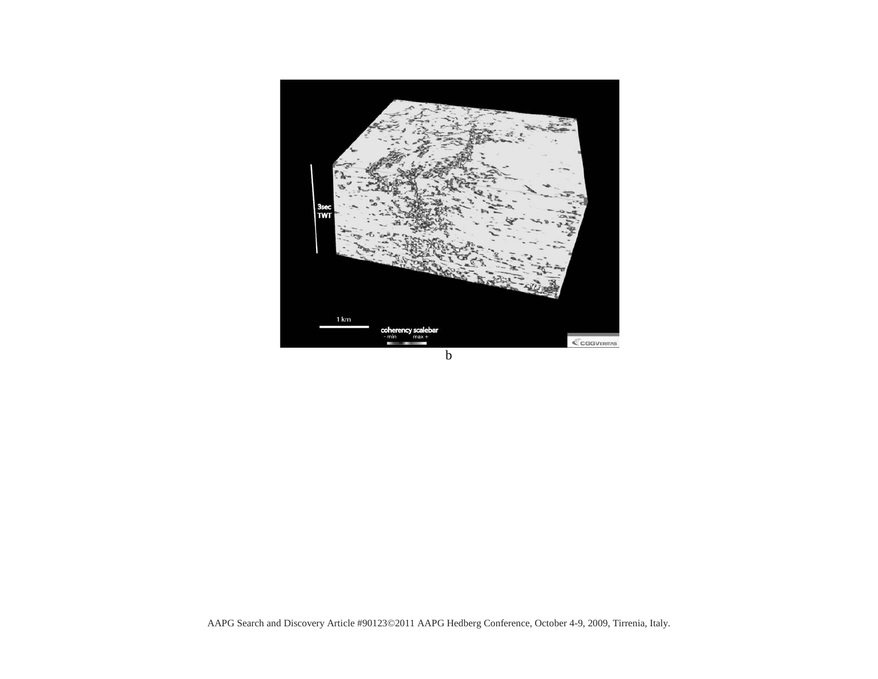

b

AAPG Search and Discovery Article #90123©2011 AAPG Hedberg Conference, October 4-9, 2009, Tirrenia, Italy.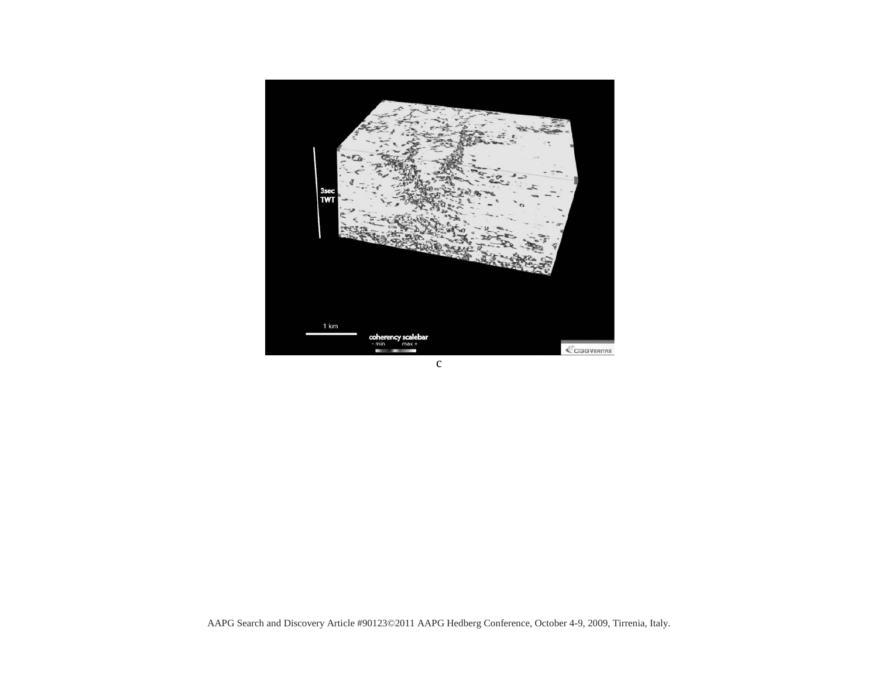

c

AAPG Search and Discovery Article #90123©2011 AAPG Hedberg Conference, October 4-9, 2009, Tirrenia, Italy.